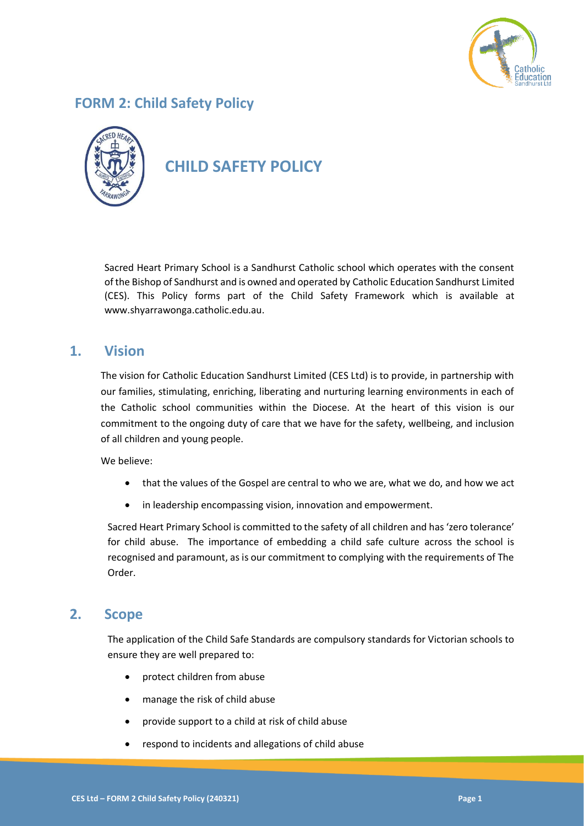

# **FORM 2: Child Safety Policy**



# **CHILD SAFETY POLICY**

Sacred Heart Primary School is a Sandhurst Catholic school which operates with the consent of the Bishop of Sandhurst and is owned and operated by Catholic Education Sandhurst Limited (CES). This Policy forms part of the Child Safety Framework which is available at www.shyarrawonga.catholic.edu.au.

### **1. Vision**

The vision for Catholic Education Sandhurst Limited (CES Ltd) is to provide, in partnership with our families, stimulating, enriching, liberating and nurturing learning environments in each of the Catholic school communities within the Diocese. At the heart of this vision is our commitment to the ongoing duty of care that we have for the safety, wellbeing, and inclusion of all children and young people.

We believe:

- that the values of the Gospel are central to who we are, what we do, and how we act
- in leadership encompassing vision, innovation and empowerment.

Sacred Heart Primary School is committed to the safety of all children and has 'zero tolerance' for child abuse. The importance of embedding a child safe culture across the school is recognised and paramount, as is our commitment to complying with the requirements of The Order.

### **2. Scope**

The application of the Child Safe Standards are compulsory standards for Victorian schools to ensure they are well prepared to:

- protect children from abuse
- manage the risk of child abuse
- provide support to a child at risk of child abuse
- respond to incidents and allegations of child abuse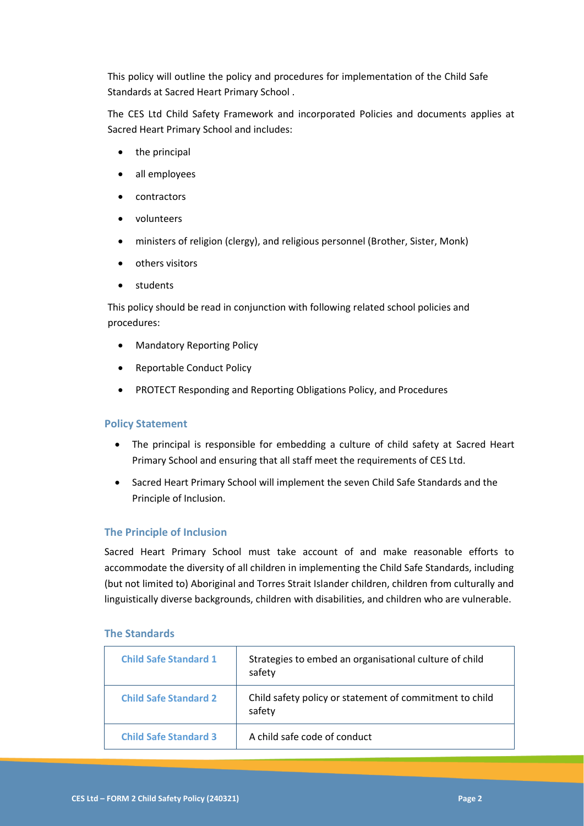This policy will outline the policy and procedures for implementation of the Child Safe Standards at Sacred Heart Primary School .

The CES Ltd Child Safety Framework and incorporated Policies and documents applies at Sacred Heart Primary School and includes:

- the principal
- all employees
- contractors
- volunteers
- ministers of religion (clergy), and religious personnel (Brother, Sister, Monk)
- others visitors
- students

This policy should be read in conjunction with following related school policies and procedures:

- Mandatory Reporting Policy
- Reportable Conduct Policy
- PROTECT Responding and Reporting Obligations Policy, and Procedures

#### **Policy Statement**

- The principal is responsible for embedding a culture of child safety at Sacred Heart Primary School and ensuring that all staff meet the requirements of CES Ltd.
- Sacred Heart Primary School will implement the seven Child Safe Standards and the Principle of Inclusion.

#### **The Principle of Inclusion**

Sacred Heart Primary School must take account of and make reasonable efforts to accommodate the diversity of all children in implementing the Child Safe Standards, including (but not limited to) Aboriginal and Torres Strait Islander children, children from culturally and linguistically diverse backgrounds, children with disabilities, and children who are vulnerable.

#### **The Standards**

| <b>Child Safe Standard 1</b> | Strategies to embed an organisational culture of child<br>safety  |
|------------------------------|-------------------------------------------------------------------|
| <b>Child Safe Standard 2</b> | Child safety policy or statement of commitment to child<br>safety |
| <b>Child Safe Standard 3</b> | A child safe code of conduct                                      |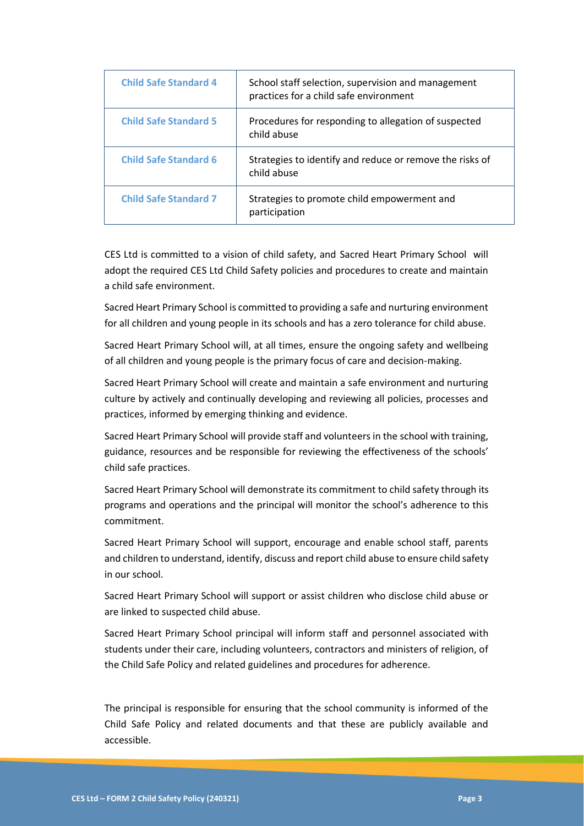| <b>Child Safe Standard 4</b> | School staff selection, supervision and management<br>practices for a child safe environment |
|------------------------------|----------------------------------------------------------------------------------------------|
| <b>Child Safe Standard 5</b> | Procedures for responding to allegation of suspected<br>child abuse                          |
| <b>Child Safe Standard 6</b> | Strategies to identify and reduce or remove the risks of<br>child abuse                      |
| <b>Child Safe Standard 7</b> | Strategies to promote child empowerment and<br>participation                                 |

CES Ltd is committed to a vision of child safety, and Sacred Heart Primary School will adopt the required CES Ltd Child Safety policies and procedures to create and maintain a child safe environment.

Sacred Heart Primary School is committed to providing a safe and nurturing environment for all children and young people in its schools and has a zero tolerance for child abuse.

Sacred Heart Primary School will, at all times, ensure the ongoing safety and wellbeing of all children and young people is the primary focus of care and decision-making.

Sacred Heart Primary School will create and maintain a safe environment and nurturing culture by actively and continually developing and reviewing all policies, processes and practices, informed by emerging thinking and evidence.

Sacred Heart Primary School will provide staff and volunteers in the school with training, guidance, resources and be responsible for reviewing the effectiveness of the schools' child safe practices.

Sacred Heart Primary School will demonstrate its commitment to child safety through its programs and operations and the principal will monitor the school's adherence to this commitment.

Sacred Heart Primary School will support, encourage and enable school staff, parents and children to understand, identify, discuss and report child abuse to ensure child safety in our school.

Sacred Heart Primary School will support or assist children who disclose child abuse or are linked to suspected child abuse.

Sacred Heart Primary School principal will inform staff and personnel associated with students under their care, including volunteers, contractors and ministers of religion, of the Child Safe Policy and related guidelines and procedures for adherence.

The principal is responsible for ensuring that the school community is informed of the Child Safe Policy and related documents and that these are publicly available and accessible.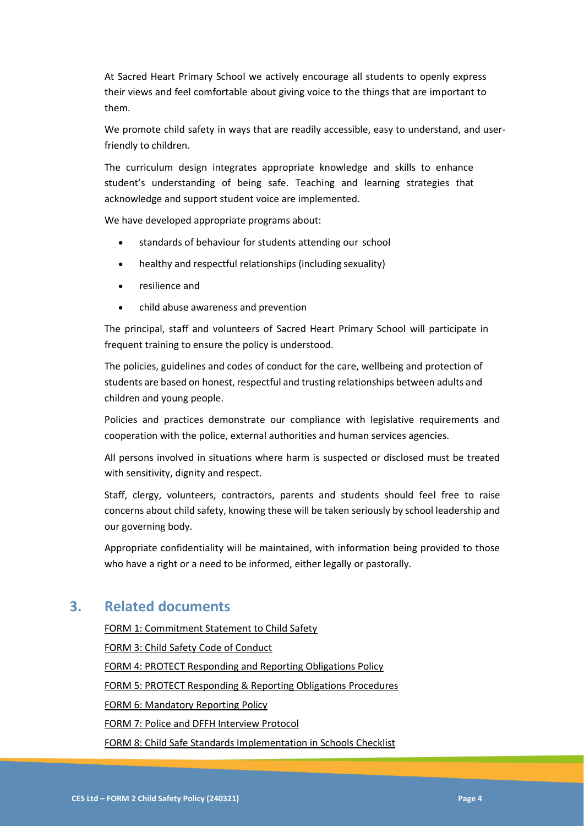At Sacred Heart Primary School we actively encourage all students to openly express their views and feel comfortable about giving voice to the things that are important to them.

We promote child safety in ways that are readily accessible, easy to understand, and userfriendly to children.

The curriculum design integrates appropriate knowledge and skills to enhance student's understanding of being safe. Teaching and learning strategies that acknowledge and support student voice are implemented.

We have developed appropriate programs about:

- standards of behaviour for students attending our school
- healthy and respectful relationships (including sexuality)
- resilience and
- child abuse awareness and prevention

The principal, staff and volunteers of Sacred Heart Primary School will participate in frequent training to ensure the policy is understood.

The policies, guidelines and codes of conduct for the care, wellbeing and protection of students are based on honest, respectful and trusting relationships between adults and children and young people.

Policies and practices demonstrate our compliance with legislative requirements and cooperation with the police, external authorities and human services agencies.

All persons involved in situations where harm is suspected or disclosed must be treated with sensitivity, dignity and respect.

Staff, clergy, volunteers, contractors, parents and students should feel free to raise concerns about child safety, knowing these will be taken seriously by school leadership and our governing body.

Appropriate confidentiality will be maintained, with information being provided to those who have a right or a need to be informed, either legally or pastorally.

## **3. Related documents**

<span id="page-3-0"></span>FORM 1: Commitment Statement to Child Safety FORM 3: Child Safety Code of Conduct FORM 4: PROTECT Responding and Reporting Obligations Policy FORM 5: PROTECT Responding & Reporting Obligations Procedures FORM 6: Mandatory Reporting Policy [FORM 7: Police and DFFH Interview Protocol](#page-3-0) FORM 8: Child Safe Standards Implementation in Schools Checklist